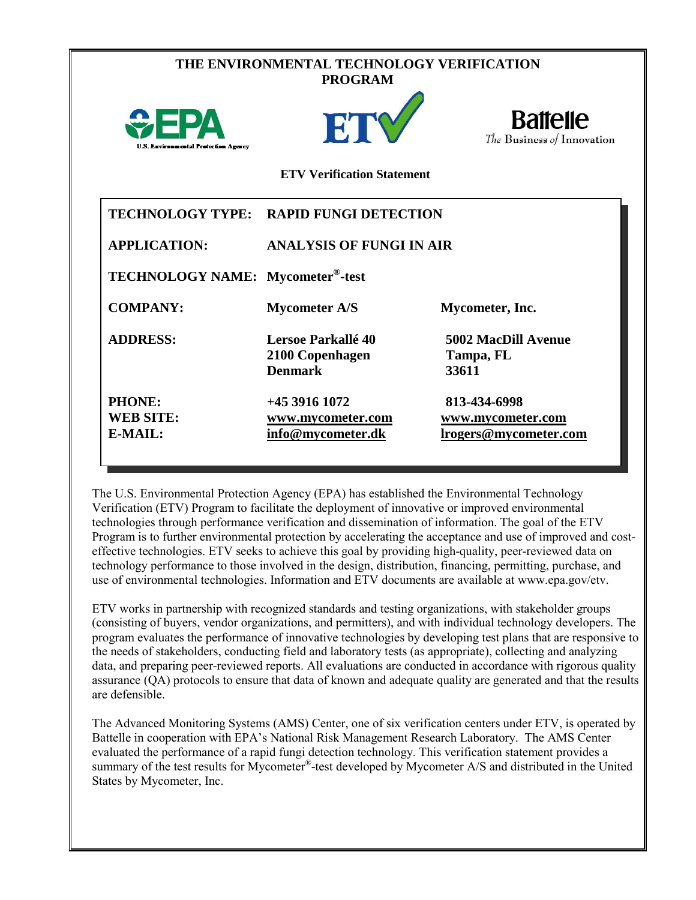|                                                        | THE ENVIRONMENTAL TECHNOLOGY VERIFICATION<br><b>PROGRAM</b> |                                                                   |
|--------------------------------------------------------|-------------------------------------------------------------|-------------------------------------------------------------------|
| $\bigcirc$ FPA<br>U.S. Environmental Protection Agency | ETY                                                         | <b>Battelle</b><br>The Business of Innovation                     |
|                                                        | <b>ETV Verification Statement</b>                           |                                                                   |
|                                                        | TECHNOLOGY TYPE: RAPID FUNGI DETECTION                      |                                                                   |
| <b>APPLICATION:</b>                                    | <b>ANALYSIS OF FUNGI IN AIR</b>                             |                                                                   |
| TECHNOLOGY NAME: Mycometer <sup>®</sup> -test          |                                                             |                                                                   |
| <b>COMPANY:</b>                                        | <b>Mycometer A/S</b>                                        | Mycometer, Inc.                                                   |
| <b>ADDRESS:</b>                                        | Lersoe Parkallé 40<br>2100 Copenhagen<br><b>Denmark</b>     | <b>5002 MacDill Avenue</b><br>Tampa, FL<br>33611                  |
| PHONE:<br><b>WEB SITE:</b><br>E-MAIL:                  | +45 3916 1072<br>www.mycometer.com<br>info@mycometer.dk     | 813-434-6998<br>www.mycometer.com<br><u>lrogers@mycometer.com</u> |

The U.S. Environmental Protection Agency (EPA) has established the Environmental Technology Verification (ETV) Program to facilitate the deployment of innovative or improved environmental technologies through performance verification and dissemination of information. The goal of the ETV Program is to further environmental protection by accelerating the acceptance and use of improved and costeffective technologies. ETV seeks to achieve this goal by providing high-quality, peer-reviewed data on technology performance to those involved in the design, distribution, financing, permitting, purchase, and use of environmental technologies. Information and ETV documents are available at www.epa.gov/etv.

ETV works in partnership with recognized standards and testing organizations, with stakeholder groups (consisting of buyers, vendor organizations, and permitters), and with individual technology developers. The program evaluates the performance of innovative technologies by developing test plans that are responsive to the needs of stakeholders, conducting field and laboratory tests (as appropriate), collecting and analyzing data, and preparing peer-reviewed reports. All evaluations are conducted in accordance with rigorous quality assurance (QA) protocols to ensure that data of known and adequate quality are generated and that the results are defensible.

The Advanced Monitoring Systems (AMS) Center, one of six verification centers under ETV, is operated by Battelle in cooperation with EPA's National Risk Management Research Laboratory. The AMS Center evaluated the performance of a rapid fungi detection technology. This verification statement provides a summary of the test results for Mycometer®-test developed by Mycometer A/S and distributed in the United States by Mycometer, Inc.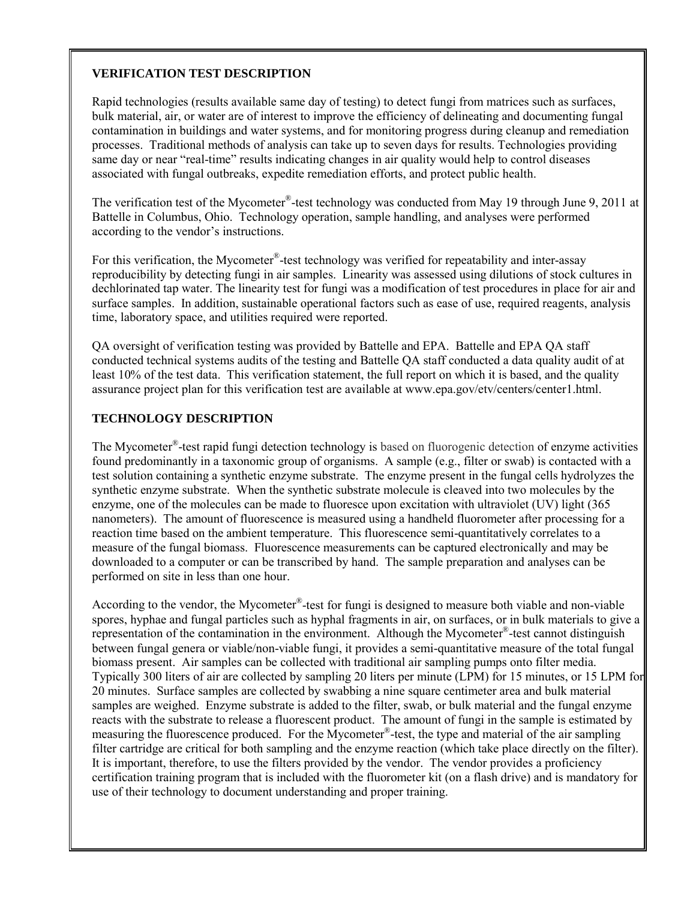#### **VERIFICATION TEST DESCRIPTION**

Rapid technologies (results available same day of testing) to detect fungi from matrices such as surfaces, bulk material, air, or water are of interest to improve the efficiency of delineating and documenting fungal contamination in buildings and water systems, and for monitoring progress during cleanup and remediation processes. Traditional methods of analysis can take up to seven days for results. Technologies providing same day or near "real-time" results indicating changes in air quality would help to control diseases associated with fungal outbreaks, expedite remediation efforts, and protect public health.

The verification test of the Mycometer<sup>®</sup>-test technology was conducted from May 19 through June 9, 2011 at Battelle in Columbus, Ohio. Technology operation, sample handling, and analyses were performed according to the vendor's instructions.

For this verification, the Mycometer<sup>®</sup>-test technology was verified for repeatability and inter-assay reproducibility by detecting fungi in air samples. Linearity was assessed using dilutions of stock cultures in dechlorinated tap water. The linearity test for fungi was a modification of test procedures in place for air and surface samples. In addition, sustainable operational factors such as ease of use, required reagents, analysis time, laboratory space, and utilities required were reported.

QA oversight of verification testing was provided by Battelle and EPA. Battelle and EPA QA staff conducted technical systems audits of the testing and Battelle QA staff conducted a data quality audit of at least 10% of the test data. This verification statement, the full report on which it is based, and the quality assurance project plan for this verification test are available at www.epa.gov/etv/centers/center1.html.

#### **TECHNOLOGY DESCRIPTION**

The Mycometer®-test rapid fungi detection technology is based on fluorogenic detection of enzyme activities found predominantly in a taxonomic group of organisms. A sample (e.g., filter or swab) is contacted with a test solution containing a synthetic enzyme substrate. The enzyme present in the fungal cells hydrolyzes the synthetic enzyme substrate. When the synthetic substrate molecule is cleaved into two molecules by the enzyme, one of the molecules can be made to fluoresce upon excitation with ultraviolet (UV) light (365 nanometers). The amount of fluorescence is measured using a handheld fluorometer after processing for a reaction time based on the ambient temperature. This fluorescence semi-quantitatively correlates to a measure of the fungal biomass. Fluorescence measurements can be captured electronically and may be downloaded to a computer or can be transcribed by hand. The sample preparation and analyses can be performed on site in less than one hour.

According to the vendor, the Mycometer®-test for fungi is designed to measure both viable and non-viable spores, hyphae and fungal particles such as hyphal fragments in air, on surfaces, or in bulk materials to give a representation of the contamination in the environment. Although the Mycometer®-test cannot distinguish between fungal genera or viable/non-viable fungi, it provides a semi-quantitative measure of the total fungal biomass present. Air samples can be collected with traditional air sampling pumps onto filter media. Typically 300 liters of air are collected by sampling 20 liters per minute (LPM) for 15 minutes, or 15 LPM for 20 minutes. Surface samples are collected by swabbing a nine square centimeter area and bulk material samples are weighed. Enzyme substrate is added to the filter, swab, or bulk material and the fungal enzyme reacts with the substrate to release a fluorescent product. The amount of fungi in the sample is estimated by measuring the fluorescence produced. For the Mycometer®-test, the type and material of the air sampling filter cartridge are critical for both sampling and the enzyme reaction (which take place directly on the filter). It is important, therefore, to use the filters provided by the vendor. The vendor provides a proficiency certification training program that is included with the fluorometer kit (on a flash drive) and is mandatory for use of their technology to document understanding and proper training.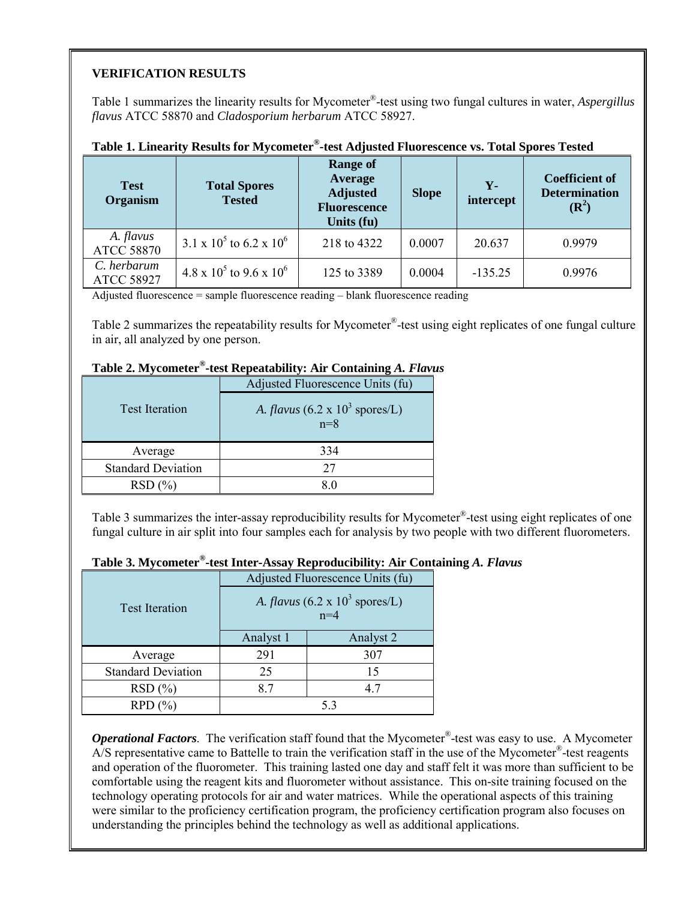#### **VERIFICATION RESULTS**

Table 1 summarizes the linearity results for Mycometer®-test using two fungal cultures in water, *Aspergillus flavus* ATCC 58870 and *Cladosporium herbarum* ATCC 58927.

| <b>Test</b><br>Organism          | <b>Total Spores</b><br><b>Tested</b>       | <b>Range of</b><br>Average<br><b>Adjusted</b><br><b>Fluorescence</b><br>Units (fu) | <b>Slope</b> | $Y -$<br>intercept | <b>Coefficient of</b><br><b>Determination</b><br>$(\mathbb{R}^2)$ |
|----------------------------------|--------------------------------------------|------------------------------------------------------------------------------------|--------------|--------------------|-------------------------------------------------------------------|
| A. flavus<br><b>ATCC 58870</b>   | $3.1 \times 10^5$ to 6.2 x 10 <sup>6</sup> | 218 to 4322                                                                        | 0.0007       | 20.637             | 0.9979                                                            |
| C. herbarum<br><b>ATCC 58927</b> | $4.8 \times 10^5$ to $9.6 \times 10^6$     | 125 to 3389                                                                        | 0.0004       | $-135.25$          | 0.9976                                                            |

### **Table 1. Linearity Results for Mycometer®-test Adjusted Fluorescence vs. Total Spores Tested**

Adjusted fluorescence = sample fluorescence reading – blank fluorescence reading

Table 2 summarizes the repeatability results for Mycometer<sup>®</sup>-test using eight replicates of one fungal culture in air, all analyzed by one person.

|                           | <b>Table 2.</b> Myconiclei -lest Repeatablity. All Containing A. <i>Flavi</i> |
|---------------------------|-------------------------------------------------------------------------------|
|                           | Adjusted Fluorescence Units (fu)                                              |
| <b>Test Iteration</b>     | A. <i>flavus</i> (6.2 x $10^3$ spores/L)<br>$n=8$                             |
| Average                   | 334                                                                           |
| <b>Standard Deviation</b> | 27                                                                            |
| RSD(%)                    | 8.0                                                                           |

## **Table 2. Mycometer®-test Repeatability: Air Containing** *A. Flavus*

Table 3 summarizes the inter-assay reproducibility results for Mycometer®-test using eight replicates of one fungal culture in air split into four samples each for analysis by two people with two different fluorometers.

# **Table 3. Mycometer®-test Inter-Assay Reproducibility: Air Containing** *A. Flavus*

|                           | Adjusted Fluorescence Units (fu)                  |           |  |  |
|---------------------------|---------------------------------------------------|-----------|--|--|
| <b>Test Iteration</b>     | A. <i>flavus</i> (6.2 x $10^3$ spores/L)<br>$n=4$ |           |  |  |
|                           | Analyst 1                                         | Analyst 2 |  |  |
| Average                   | 291                                               | 307       |  |  |
| <b>Standard Deviation</b> | 25                                                | 15        |  |  |
| RSD(%)                    | 8.7                                               | 4.7       |  |  |
| RPD(%)                    |                                                   | 53        |  |  |

*Operational Factors*. The verification staff found that the Mycometer®-test was easy to use. A Mycometer A/S representative came to Battelle to train the verification staff in the use of the Mycometer®-test reagents and operation of the fluorometer. This training lasted one day and staff felt it was more than sufficient to be comfortable using the reagent kits and fluorometer without assistance. This on-site training focused on the technology operating protocols for air and water matrices. While the operational aspects of this training were similar to the proficiency certification program, the proficiency certification program also focuses on understanding the principles behind the technology as well as additional applications.